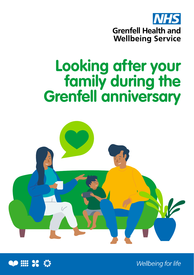

# **Looking after your**  *<u>Grenfell</u>* anniversary





Wellbeing for life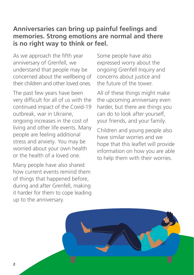#### **Anniversaries can bring up painful feelings and memories. Strong emotions are normal and there is no right way to think or feel.**

As we approach the fifth year anniversary of Grenfell, we understand that people may be concerned about the wellbeing of their children and other loved ones.

The past few years have been very difficult for all of us with the continued impact of the Covid-19 outbreak, war in Ukraine, ongoing increases in the cost of living and other life events. Many people are feeling additional stress and anxiety. You may be worried about your own health or the health of a loved one.

Many people have also shared how current events remind them of things that happened before, during and after Grenfell, making it harder for them to cope leading up to the anniversary.

Some people have also expressed worry about the ongoing Grenfell Inquiry and concerns about justice and the future of the tower.

All of these things might make the upcoming anniversary even harder, but there are things you can do to look after yourself, your friends, and your family.

Children and young people also have similar worries and we hope that this leaflet will provide information on how you are able to help them with their worries.

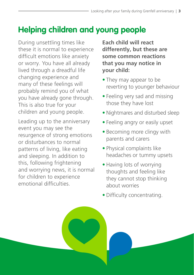# **Helping children and young people**

During unsettling times like these it is normal to experience difficult emotions like anxiety or worry. You have all already lived through a dreadful life changing experience and many of these feelings will probably remind you of what you have already gone through. This is also true for your children and young people.

Leading up to the anniversary event you may see the resurgence of strong emotions or disturbances to normal patterns of living, like eating and sleeping. In addition to this, following frightening and worrying news, it is normal for children to experience emotional difficulties.

**Each child will react differently, but these are some common reactions that you may notice in your child:**

- They may appear to be reverting to younger behaviour
- Feeling very sad and missing those they have lost
- Nightmares and disturbed sleep
- Feeling angry or easily upset
- Becoming more clingy with parents and carers
- Physical complaints like headaches or tummy upsets
- Having lots of worrying thoughts and feeling like they cannot stop thinking about worries
- Difficulty concentrating.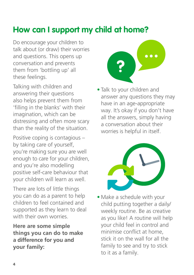## **How can I support my child at home?**

Do encourage your children to talk about (or draw) their worries and questions. This opens up conversation and prevents them from 'bottling up' all these feelings.

Talking with children and answering their questions also helps prevent them from 'filling in the blanks' with their imagination, which can be distressing and often more scary than the reality of the situation.

Positive coping is contagious – by taking care of yourself, you're making sure you are well enough to care for your children, and you're also modelling positive self-care behaviour that your children will learn as well.

There are lots of little things you can do as a parent to help children to feel contained and supported as they learn to deal with their own worries.

**Here are some simple things you can do to make a difference for you and your family:**



• Talk to your children and answer any questions they may have in an age-appropriate way. It's okay if you don't have all the answers, simply having a conversation about their worries is helpful in itself.



• Make a schedule with your child putting together a daily/ weekly routine. Be as creative as you like! A routine will help your child feel in control and minimise conflict at home, stick it on the wall for all the family to see and try to stick to it as a family.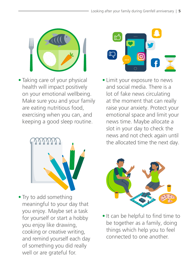

• Taking care of your physical health will impact positively on your emotional wellbeing. Make sure you and your family are eating nutritious food, exercising when you can, and keeping a good sleep routine.



• Try to add something meaningful to your day that you enjoy. Maybe set a task for yourself or start a hobby you enjoy like drawing, cooking or creative writing, and remind yourself each day of something you did really well or are grateful for.



• Limit your exposure to news and social media. There is a lot of fake news circulating at the moment that can really raise your anxiety. Protect your emotional space and limit your news time. Maybe allocate a slot in your day to check the news and not check again until the allocated time the next day.



• It can be helpful to find time to be together as a family, doing things which help you to feel connected to one another.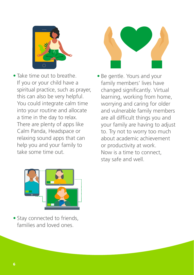



- Take time out to breathe. If you or your child have a spiritual practice, such as prayer, this can also be very helpful. You could integrate calm time into your routine and allocate a time in the day to relax. There are plenty of apps like Calm Panda, Headspace or relaxing sound apps that can help you and your family to take some time out.
- Be gentle. Yours and your family members' lives have changed significantly. Virtual learning, working from home, worrying and caring for older and vulnerable family members are all difficult things you and your family are having to adjust to. Try not to worry too much about academic achievement or productivity at work. Now is a time to connect, stay safe and well.



• Stay connected to friends, families and loved ones.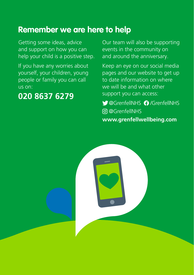## **Remember we are here to help**

Getting some ideas, advice and support on how you can help your child is a positive step.

If you have any worries about yourself, your children, young people or family you can call us on:

### **020 8637 6279**

Our team will also be supporting events in the community on and around the anniversary.

Keep an eye on our social media pages and our website to get up to date information on where we will be and what other support you can access:

CaGrenfellNHS @ [/GrenfellNHS](http://www.facebook.com/GrenfellNHS)  [@GrenfellNHS](https://www.instagram.com/grenfellnhs/) **[www.grenfellwellbeing.com](http://www.grenfellwellbeing.com)**